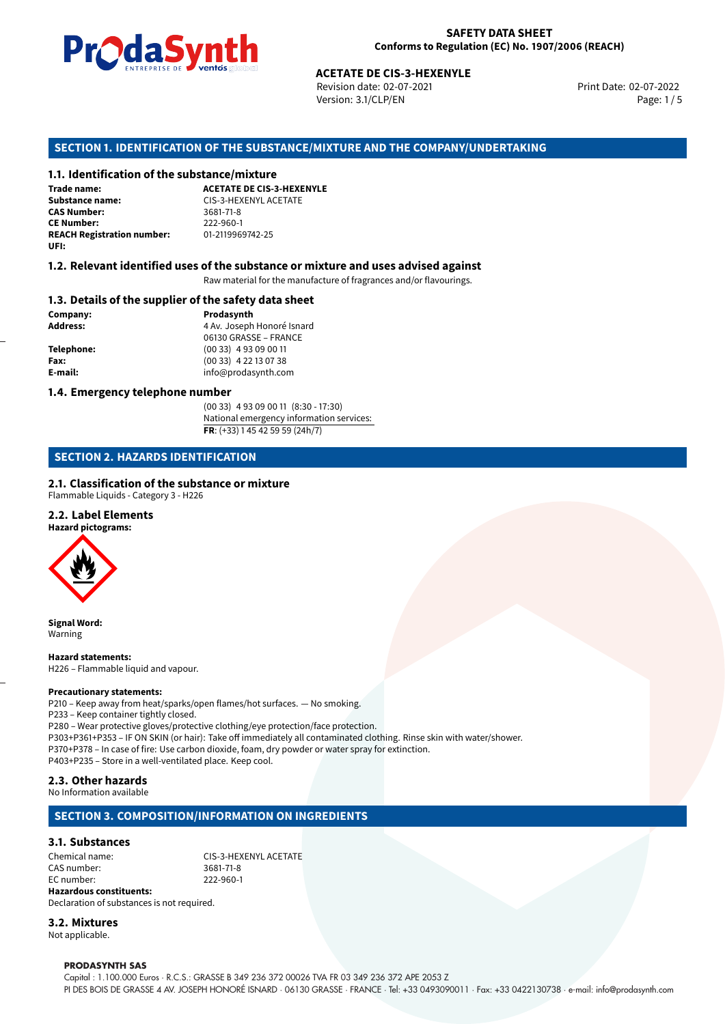

Revision date: 02-07-2021 Version: 3.1/CLP/EN Page: 1 / 5

Print Date: 02-07-2022

# **ACETATE DE CIS-3-HEXENYLE**<br>
Revision date: 02-07-2021<br>
Version: 3.1/CLP/EN<br> **OF THE SUBSTANCE/MIXTURE AND THE COMPANY/<br>
tance/mixture<br>
ACETATE DE CIS-3-HEXENYLE SECTION 1. IDENTIFICATION OF THE SUBSTANCE/MIXTURE AND THE COMPANY/UNDERTAKING**

#### **1.1. Identification of the substance/mixture**

**Trade name: Substance name:** CIS-3-HEXENYL ACETATE<br> **CAS Number:** 3681-71-8 **CAS Number: CE Number:** 222-960-1<br>**REACH Registration number:** 01-2119969742-25 **REACH Registration number: UFI:**

#### **1.2. Relevant identified uses of the substance or mixture and uses advised against**

Raw material for the manufacture of fragrances and/or flavourings.

#### **1.3. Details of the supplier of the safety data sheet**

**Company: Prodasynth Prodasynth Address:** 4 Av. Joseph **Address:** 4 Av. Joseph Honoré Isnard 06130 GRASSE – FRANCE **Telephone:** (00 33) 4 93 09 00 11 **Fax:** (00 33) 4 22 13 07 38 **E-mail:** info@prodasynth.com

#### **1.4. Emergency telephone number**

(00 33) 4 93 09 00 11 (8:30 - 17:30) National emergency information services: **FR**: (+33) 1 45 42 59 59 (24h/7)

#### **SECTION 2. HAZARDS IDENTIFICATION**

#### **2.1. Classification of the substance or mixture**

Flammable Liquids - Category 3 - H226

#### **2.2. Label Elements**

**Hazard pictograms:**



**Signal Word:** Warning

**Hazard statements:** H226 – Flammable liquid and vapour.

#### **Precautionary statements:**

P210 – Keep away from heat/sparks/open flames/hot surfaces. — No smoking. P233 – Keep container tightly closed. P280 – Wear protective gloves/protective clothing/eye protection/face protection. P303+P361+P353 – IF ON SKIN (or hair): Take off immediately all contaminated clothing. Rinse skin with water/shower. P370+P378 – In case of fire: Use carbon dioxide, foam, dry powder or water spray for extinction. P403+P235 – Store in a well-ventilated place. Keep cool.

#### **2.3. Other hazards**

No Information available

#### **SECTION 3. COMPOSITION/INFORMATION ON INGREDIENTS**

#### **3.1. Substances**

Chemical name: CIS-3-HEXENYL ACETATE CAS number: 3681-71-8 EC number: 222-960-1 **Hazardous constituents:**

Declaration of substances is not required. **3.2. Mixtures**

Not applicable.

#### **PRODASYNTH SAS**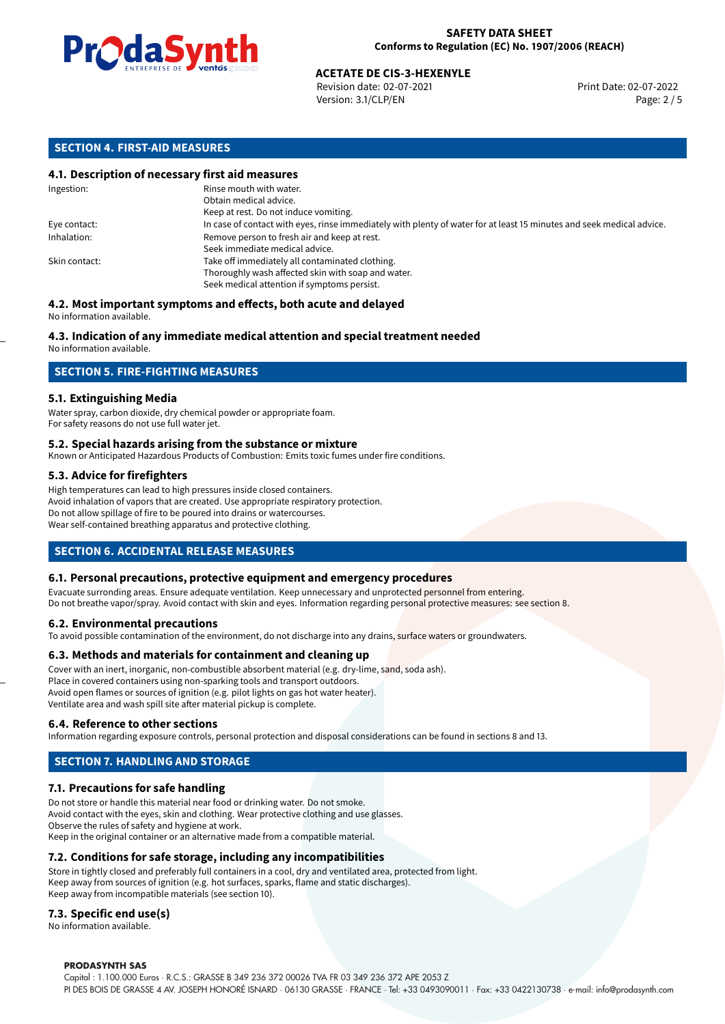

## **ACETATE DE CIS-3-HEXENYLE**<br>
Revision date: 02-07-2021<br> **Print Date: 02-07-2021**

Revision date: 02-07-2021 Version: 3.1/CLP/EN Page: 2 / 5

#### **SECTION 4. FIRST-AID MEASURES**

#### **4.1. Description of necessary first aid measures**

| Ingestion:    | Rinse mouth with water.<br>Obtain medical advice.                                                                                                    |
|---------------|------------------------------------------------------------------------------------------------------------------------------------------------------|
|               | Keep at rest. Do not induce vomiting.                                                                                                                |
| Eye contact:  | In case of contact with eyes, rinse immediately with plenty of water for at least 15 minutes and seek medical advice.                                |
| Inhalation:   | Remove person to fresh air and keep at rest.<br>Seek immediate medical advice.                                                                       |
| Skin contact: | Take off immediately all contaminated clothing.<br>Thoroughly wash affected skin with soap and water.<br>Seek medical attention if symptoms persist. |

#### **4.2. Most important symptoms and effects, both acute and delayed** No information available.

### **4.3. Indication of any immediate medical attention and special treatment needed**

No information available.

#### **SECTION 5. FIRE-FIGHTING MEASURES**

#### **5.1. Extinguishing Media**

Water spray, carbon dioxide, dry chemical powder or appropriate foam. For safety reasons do not use full water jet.

#### **5.2. Special hazards arising from the substance or mixture**

Known or Anticipated Hazardous Products of Combustion: Emits toxic fumes under fire conditions.

#### **5.3. Advice for firefighters**

High temperatures can lead to high pressures inside closed containers. Avoid inhalation of vapors that are created. Use appropriate respiratory protection. Do not allow spillage of fire to be poured into drains or watercourses. Wear self-contained breathing apparatus and protective clothing.

#### **SECTION 6. ACCIDENTAL RELEASE MEASURES**

#### **6.1. Personal precautions, protective equipment and emergency procedures**

Evacuate surronding areas. Ensure adequate ventilation. Keep unnecessary and unprotected personnel from entering. Do not breathe vapor/spray. Avoid contact with skin and eyes. Information regarding personal protective measures: see section 8.

#### **6.2. Environmental precautions**

To avoid possible contamination of the environment, do not discharge into any drains, surface waters or groundwaters.

#### **6.3. Methods and materials for containment and cleaning up**

Cover with an inert, inorganic, non-combustible absorbent material (e.g. dry-lime, sand, soda ash). Place in covered containers using non-sparking tools and transport outdoors. Avoid open flames or sources of ignition (e.g. pilot lights on gas hot water heater). Ventilate area and wash spill site after material pickup is complete.

#### **6.4. Reference to other sections**

Information regarding exposure controls, personal protection and disposal considerations can be found in sections 8 and 13.

#### **SECTION 7. HANDLING AND STORAGE**

#### **7.1. Precautions for safe handling**

Do not store or handle this material near food or drinking water. Do not smoke. Avoid contact with the eyes, skin and clothing. Wear protective clothing and use glasses. Observe the rules of safety and hygiene at work. Keep in the original container or an alternative made from a compatible material.

#### **7.2. Conditions for safe storage, including any incompatibilities**

Store in tightly closed and preferably full containers in a cool, dry and ventilated area, protected from light. Keep away from sources of ignition (e.g. hot surfaces, sparks, flame and static discharges). Keep away from incompatible materials (see section 10).

#### **7.3. Specific end use(s)**

No information available.

#### **PRODASYNTH SAS**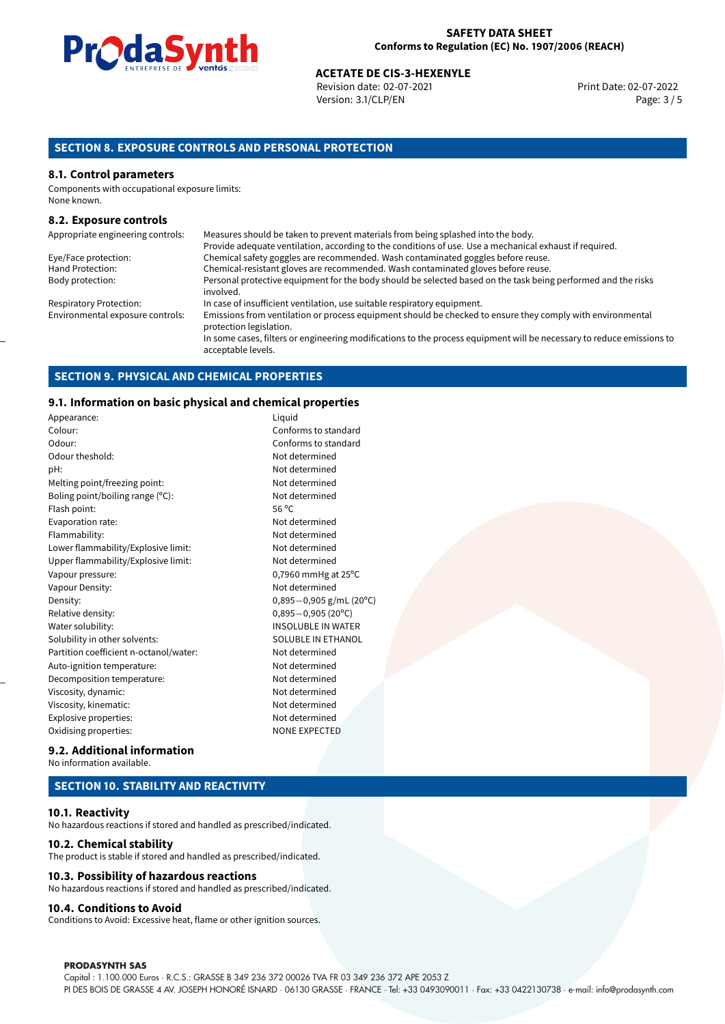

## **ACETATE DE CIS-3-HEXENYLE**<br>
Revision date: 02-07-2021<br> **Print Date: 02-07-2021**

Revision date: 02-07-2021 Version: 3.1/CLP/EN Page: 3 / 5

#### **SECTION 8. EXPOSURE CONTROLS AND PERSONAL PROTECTION**

#### **8.1. Control parameters**

Components with occupational exposure limits: None known.

#### **8.2. Exposure controls**

| Appropriate engineering controls: | Measures should be taken to prevent materials from being splashed into the body.                                                            |
|-----------------------------------|---------------------------------------------------------------------------------------------------------------------------------------------|
|                                   | Provide adequate ventilation, according to the conditions of use. Use a mechanical exhaust if required.                                     |
| Eye/Face protection:              | Chemical safety goggles are recommended. Wash contaminated goggles before reuse.                                                            |
| Hand Protection:                  | Chemical-resistant gloves are recommended. Wash contaminated gloves before reuse.                                                           |
| Body protection:                  | Personal protective equipment for the body should be selected based on the task being performed and the risks<br>involved.                  |
| <b>Respiratory Protection:</b>    | In case of insufficient ventilation, use suitable respiratory equipment.                                                                    |
| Environmental exposure controls:  | Emissions from ventilation or process equipment should be checked to ensure they comply with environmental<br>protection legislation.       |
|                                   | In some cases, filters or engineering modifications to the process equipment will be necessary to reduce emissions to<br>acceptable levels. |

#### **SECTION 9. PHYSICAL AND CHEMICAL PROPERTIES**

#### **9.1. Information on basic physical and chemical properties**

| Appearance:                            | Liquid       |
|----------------------------------------|--------------|
| Colour:                                | Confo        |
| Odour:                                 | Confo        |
| Odour theshold:                        | Not de       |
| pH:                                    | Not de       |
| Melting point/freezing point:          | Not de       |
| Boling point/boiling range (°C):       | Not de       |
| Flash point:                           | 56 °C        |
| Evaporation rate:                      | Not de       |
| Flammability:                          | Not de       |
| Lower flammability/Explosive limit:    | Not de       |
| Upper flammability/Explosive limit:    | Not de       |
| Vapour pressure:                       | 0,7960       |
| Vapour Density:                        | Not de       |
| Density:                               | $0,895 -$    |
| Relative density:                      | $0,895 -$    |
| Water solubility:                      | <b>INSOL</b> |
| Solubility in other solvents:          | SOLUE        |
| Partition coefficient n-octanol/water: | Not de       |
| Auto-ignition temperature:             | Not de       |
| Decomposition temperature:             | Not de       |
| Viscosity, dynamic:                    | Not de       |
| Viscosity, kinematic:                  | Not de       |
| Explosive properties:                  | Not de       |
| Oxidising properties:                  | <b>NONE</b>  |

#### Conforms to standard Conforms to standard Not determined Not determined Not determined Not determined Not determined Not determined Not determined Not determined  $0,7960$  mmHg at 25 $^{\circ}$ C Not determined Density: 0,895*−*0,905 g/mL (20ºC) Relative density: 0,895*−*0,905 (20ºC) INSOLUBLE IN WATER SOLUBLE IN ETHANOL Not determined Not determined Not determined Not determined Not determined Not determined NONE EXPECTED

#### **9.2. Additional information** No information available.

#### **SECTION 10. STABILITY AND REACTIVITY**

#### **10.1. Reactivity**

No hazardous reactions if stored and handled as prescribed/indicated.

#### **10.2. Chemical stability**

The product is stable if stored and handled as prescribed/indicated.

#### **10.3. Possibility of hazardous reactions**

No hazardous reactions if stored and handled as prescribed/indicated.

#### **10.4. Conditions to Avoid**

Conditions to Avoid: Excessive heat, flame or other ignition sources.

#### **PRODASYNTH SAS**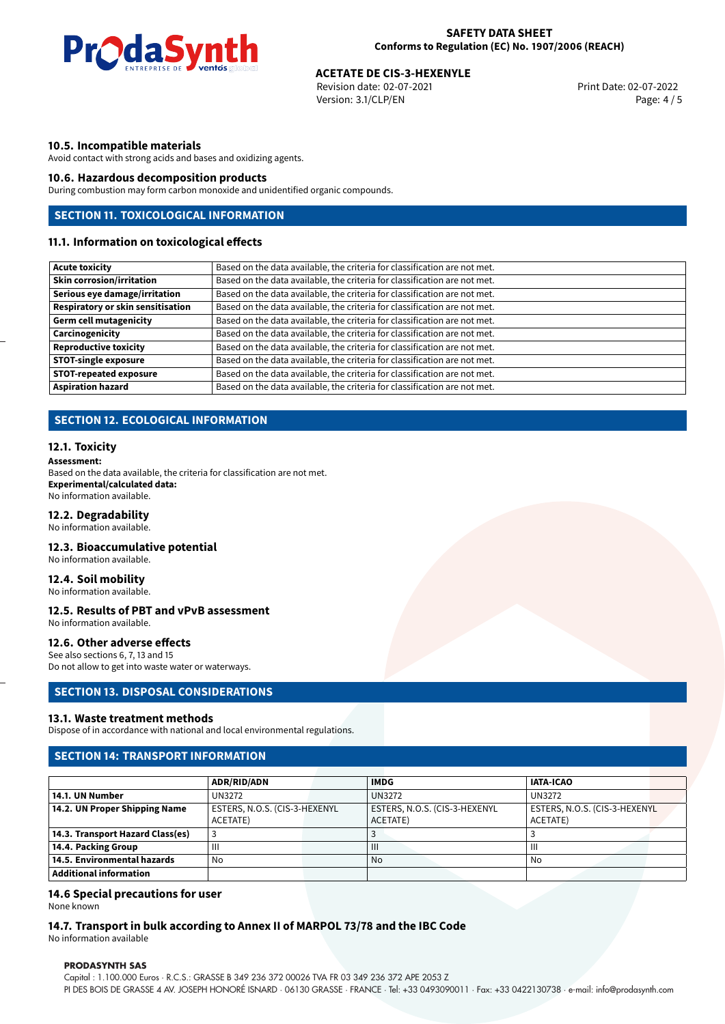

## **ACETATE DE CIS-3-HEXENYLE**<br>
Revision date: 02-07-2021<br> **Print Date: 02-07-2021**

Revision date: 02-07-2021 Version: 3.1/CLP/EN Page: 4 / 5

#### **10.5. Incompatible materials**

Avoid contact with strong acids and bases and oxidizing agents.

#### **10.6. Hazardous decomposition products**

During combustion may form carbon monoxide and unidentified organic compounds.

#### **SECTION 11. TOXICOLOGICAL INFORMATION**

#### **11.1. Information on toxicological effects**

| <b>Acute toxicity</b>                    | Based on the data available, the criteria for classification are not met. |
|------------------------------------------|---------------------------------------------------------------------------|
| <b>Skin corrosion/irritation</b>         | Based on the data available, the criteria for classification are not met. |
| Serious eye damage/irritation            | Based on the data available, the criteria for classification are not met. |
| <b>Respiratory or skin sensitisation</b> | Based on the data available, the criteria for classification are not met. |
| <b>Germ cell mutagenicity</b>            | Based on the data available, the criteria for classification are not met. |
| Carcinogenicity                          | Based on the data available, the criteria for classification are not met. |
| <b>Reproductive toxicity</b>             | Based on the data available, the criteria for classification are not met. |
| <b>STOT-single exposure</b>              | Based on the data available, the criteria for classification are not met. |
| <b>STOT-repeated exposure</b>            | Based on the data available, the criteria for classification are not met. |
| <b>Aspiration hazard</b>                 | Based on the data available, the criteria for classification are not met. |

#### **SECTION 12. ECOLOGICAL INFORMATION**

#### **12.1. Toxicity**

**Assessment:** Based on the data available, the criteria for classification are not met. **Experimental/calculated data:** No information available.

#### **12.2. Degradability**

No information available.

#### **12.3. Bioaccumulative potential**

No information available.

#### **12.4. Soil mobility**

No information available.

#### **12.5. Results of PBT and vPvB assessment**

No information available.

#### **12.6. Other adverse effects**

See also sections 6, 7, 13 and 15 Do not allow to get into waste water or waterways.

#### **SECTION 13. DISPOSAL CONSIDERATIONS**

#### **13.1. Waste treatment methods**

Dispose of in accordance with national and local environmental regulations.

#### **SECTION 14: TRANSPORT INFORMATION**

|                                  | <b>ADR/RID/ADN</b>            | <b>IMDG</b>                   | <b>IATA-ICAO</b>              |
|----------------------------------|-------------------------------|-------------------------------|-------------------------------|
| 14.1. UN Number                  | UN3272                        | <b>UN3272</b>                 | UN3272                        |
| 14.2. UN Proper Shipping Name    | ESTERS, N.O.S. (CIS-3-HEXENYL | ESTERS, N.O.S. (CIS-3-HEXENYL | ESTERS, N.O.S. (CIS-3-HEXENYL |
|                                  | ACETATE)                      | ACETATE)                      | ACETATE)                      |
| 14.3. Transport Hazard Class(es) |                               |                               |                               |
| 14.4. Packing Group              | Ш                             | $\mathbf{III}$                | Ш                             |
| 14.5. Environmental hazards      | No                            | No                            | No                            |
| Additional information           |                               |                               |                               |

#### **14.6 Special precautions for user**

None known

#### **14.7. Transport in bulk according to Annex II of MARPOL 73/78 and the IBC Code**

No information available

#### **PRODASYNTH SAS**